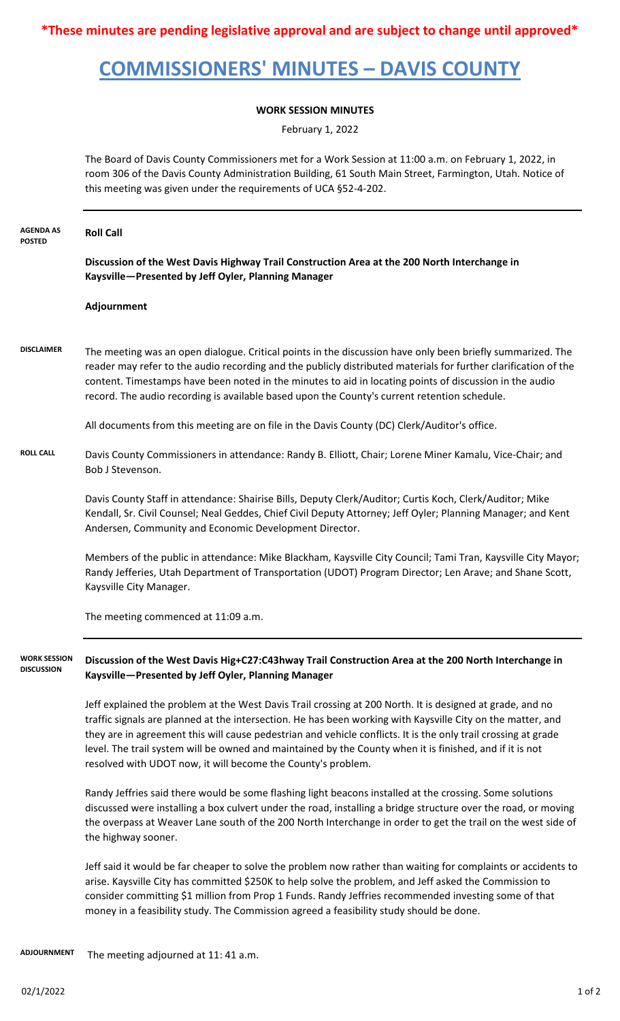**\*These minutes are pending legislative approval and are subject to change until approved\***

## **COMMISSIONERS' MINUTES – DAVIS COUNTY**

## **WORK SESSION MINUTES**

February 1, 2022

The Board of Davis County Commissioners met for a Work Session at 11:00 a.m. on February 1, 2022, in room 306 of the Davis County Administration Building, 61 South Main Street, Farmington, Utah. Notice of this meeting was given under the requirements of UCA §52-4-202.

| <b>AGENDA AS</b><br><b>POSTED</b>        | <b>Roll Call</b>                                                                                                                                                                                                                                                                                                                                                                                                                                                                                                       |
|------------------------------------------|------------------------------------------------------------------------------------------------------------------------------------------------------------------------------------------------------------------------------------------------------------------------------------------------------------------------------------------------------------------------------------------------------------------------------------------------------------------------------------------------------------------------|
|                                          | Discussion of the West Davis Highway Trail Construction Area at the 200 North Interchange in<br>Kaysville-Presented by Jeff Oyler, Planning Manager                                                                                                                                                                                                                                                                                                                                                                    |
|                                          | Adjournment                                                                                                                                                                                                                                                                                                                                                                                                                                                                                                            |
| <b>DISCLAIMER</b>                        | The meeting was an open dialogue. Critical points in the discussion have only been briefly summarized. The<br>reader may refer to the audio recording and the publicly distributed materials for further clarification of the<br>content. Timestamps have been noted in the minutes to aid in locating points of discussion in the audio<br>record. The audio recording is available based upon the County's current retention schedule.                                                                               |
|                                          | All documents from this meeting are on file in the Davis County (DC) Clerk/Auditor's office.                                                                                                                                                                                                                                                                                                                                                                                                                           |
| <b>ROLL CALL</b>                         | Davis County Commissioners in attendance: Randy B. Elliott, Chair; Lorene Miner Kamalu, Vice-Chair; and<br>Bob J Stevenson.                                                                                                                                                                                                                                                                                                                                                                                            |
|                                          | Davis County Staff in attendance: Shairise Bills, Deputy Clerk/Auditor; Curtis Koch, Clerk/Auditor; Mike<br>Kendall, Sr. Civil Counsel; Neal Geddes, Chief Civil Deputy Attorney; Jeff Oyler; Planning Manager; and Kent<br>Andersen, Community and Economic Development Director.                                                                                                                                                                                                                                     |
|                                          | Members of the public in attendance: Mike Blackham, Kaysville City Council; Tami Tran, Kaysville City Mayor;<br>Randy Jefferies, Utah Department of Transportation (UDOT) Program Director; Len Arave; and Shane Scott,<br>Kaysville City Manager.                                                                                                                                                                                                                                                                     |
|                                          | The meeting commenced at 11:09 a.m.                                                                                                                                                                                                                                                                                                                                                                                                                                                                                    |
| <b>WORK SESSION</b><br><b>DISCUSSION</b> | Discussion of the West Davis Hig+C27:C43hway Trail Construction Area at the 200 North Interchange in<br>Kaysville-Presented by Jeff Oyler, Planning Manager                                                                                                                                                                                                                                                                                                                                                            |
|                                          | Jeff explained the problem at the West Davis Trail crossing at 200 North. It is designed at grade, and no<br>traffic signals are planned at the intersection. He has been working with Kaysville City on the matter, and<br>they are in agreement this will cause pedestrian and vehicle conflicts. It is the only trail crossing at grade<br>level. The trail system will be owned and maintained by the County when it is finished, and if it is not<br>resolved with UDOT now, it will become the County's problem. |
|                                          | Randy Jeffries said there would be some flashing light beacons installed at the crossing. Some solutions<br>discussed were installing a box culvert under the road, installing a bridge structure over the road, or moving<br>the overpass at Weaver Lane south of the 200 North Interchange in order to get the trail on the west side of<br>the highway sooner.                                                                                                                                                      |
|                                          | Jeff said it would be far cheaper to solve the problem now rather than waiting for complaints or accidents to<br>arise. Kaysville City has committed \$250K to help solve the problem, and Jeff asked the Commission to<br>consider committing \$1 million from Prop 1 Funds. Randy Jeffries recommended investing some of that                                                                                                                                                                                        |

money in a feasibility study. The Commission agreed a feasibility study should be done.

 The meeting adjourned at 11: 41 a.m. **ADJOURNMENT**